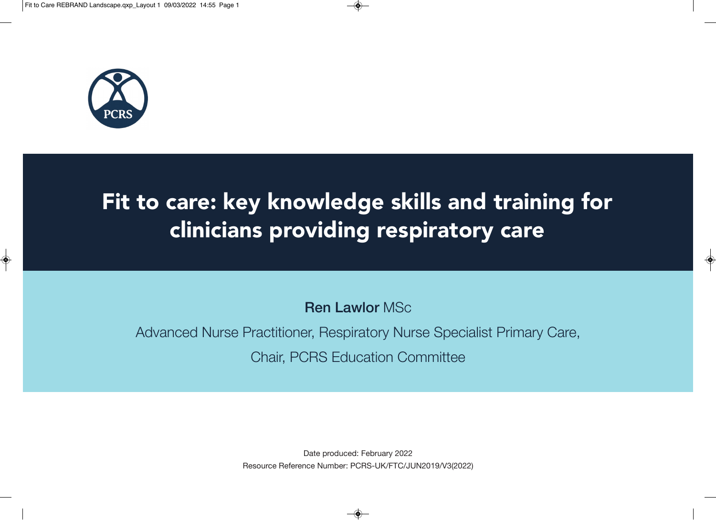

# Fit to care: key knowledge skills and training for clinicians providing respiratory care

**Ren Lawlor** MSc

Advanced Nurse Practitioner, Respiratory Nurse Specialist Primary Care, Chair, PCRS Education Committee

> Date produced: February 2022 Resource Reference Number: PCRS-UK/FTC/JUN2019/V3(2022)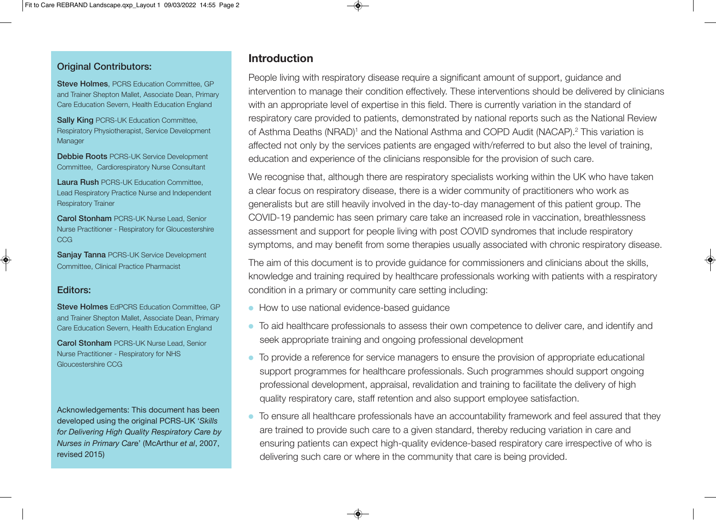#### **Original Contributors:**

**Steve Holmes**, PCRS Education Committee, GP and Trainer Shepton Mallet, Associate Dean, Primary Care Education Severn, Health Education England

**Sally King PCRS-UK Education Committee,** Respiratory Physiotherapist, Service Development **Manager** 

**Debbie Roots** PCRS-UK Service Development Committee, Cardiorespiratory Nurse Consultant

**Laura Rush** PCRS-UK Education Committee, Lead Respiratory Practice Nurse and Independent Respiratory Trainer

**Carol Stonham** PCRS-UK Nurse Lead, Senior Nurse Practitioner - Respiratory for Gloucestershire CCG

**Sanjay Tanna** PCRS-UK Service Development Committee, Clinical Practice Pharmacist

#### **Editors:**

**Steve Holmes** EdPCRS Education Committee, GP and Trainer Shepton Mallet, Associate Dean, Primary Care Education Severn, Health Education England

**Carol Stonham** PCRS-UK Nurse Lead, Senior Nurse Practitioner - Respiratory for NHS Gloucestershire CCG

Acknowledgements: This document has been developed using the original PCRS-UK '*Skills for Delivering High Quality Respiratory Care by Nurses in Primary Car*e' (McArthur *et al*, 2007, revised 2015)

# **Introduction**

People living with respiratory disease require a significant amount of support, guidance and intervention to manage their condition effectively. These interventions should be delivered by clinicians with an appropriate level of expertise in this field. There is currently variation in the standard of respiratory care provided to patients, demonstrated by national reports such as the National Review of Asthma Deaths (NRAD)<sup>1</sup> and the National Asthma and COPD Audit (NACAP).<sup>2</sup> This variation is affected not only by the services patients are engaged with/referred to but also the level of training, education and experience of the clinicians responsible for the provision of such care.

We recognise that, although there are respiratory specialists working within the UK who have taken a clear focus on respiratory disease, there is a wider community of practitioners who work as generalists but are still heavily involved in the day-to-day management of this patient group. The COVID-19 pandemic has seen primary care take an increased role in vaccination, breathlessness assessment and support for people living with post COVID syndromes that include respiratory symptoms, and may benefit from some therapies usually associated with chronic respiratory disease.

The aim of this document is to provide guidance for commissioners and clinicians about the skills, knowledge and training required by healthcare professionals working with patients with a respiratory condition in a primary or community care setting including:

- How to use national evidence-based quidance
- To aid healthcare professionals to assess their own competence to deliver care, and identify and seek appropriate training and ongoing professional development
- To provide a reference for service managers to ensure the provision of appropriate educational support programmes for healthcare professionals. Such programmes should support ongoing professional development, appraisal, revalidation and training to facilitate the delivery of high quality respiratory care, staff retention and also support employee satisfaction.
- To ensure all healthcare professionals have an accountability framework and feel assured that they are trained to provide such care to a given standard, thereby reducing variation in care and ensuring patients can expect high-quality evidence-based respiratory care irrespective of who is delivering such care or where in the community that care is being provided.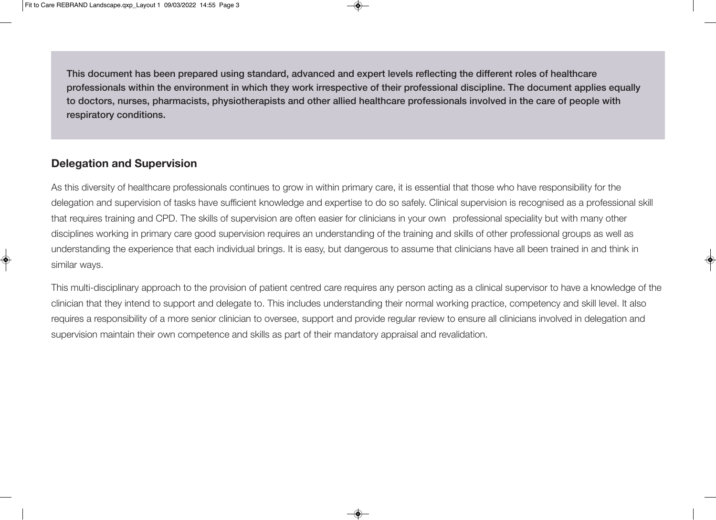**This document has been prepared using standard, advanced and expert levels reflecting the different roles of healthcare professionals within the environment in which they work irrespective of their professional discipline. The document applies equally to doctors, nurses, pharmacists, physiotherapists and other allied healthcare professionals involved in the care of people with respiratory conditions.** 

# **Delegation and Supervision**

As this diversity of healthcare professionals continues to grow in within primary care, it is essential that those who have responsibility for the delegation and supervision of tasks have sufficient knowledge and expertise to do so safely. Clinical supervision is recognised as a professional skill that requires training and CPD. The skills of supervision are often easier for clinicians in your own professional speciality but with many other disciplines working in primary care good supervision requires an understanding of the training and skills of other professional groups as well as understanding the experience that each individual brings. It is easy, but dangerous to assume that clinicians have all been trained in and think in similar ways.

This multi-disciplinary approach to the provision of patient centred care requires any person acting as a clinical supervisor to have a knowledge of the clinician that they intend to support and delegate to. This includes understanding their normal working practice, competency and skill level. It also requires a responsibility of a more senior clinician to oversee, support and provide regular review to ensure all clinicians involved in delegation and supervision maintain their own competence and skills as part of their mandatory appraisal and revalidation.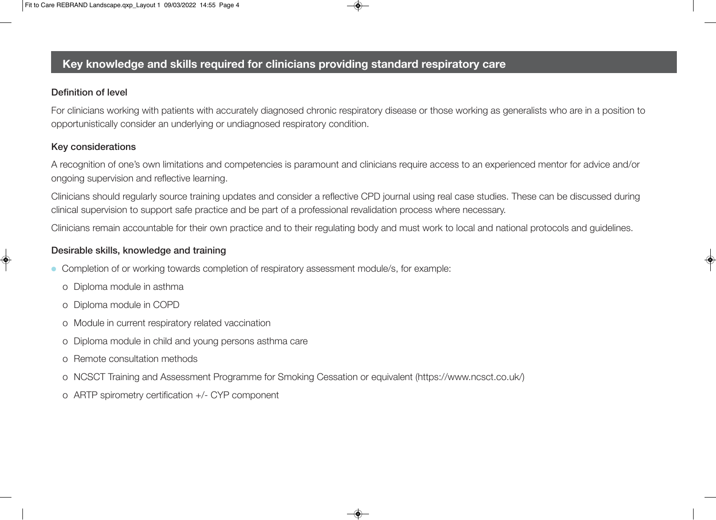# **Key knowledge and skills required for clinicians providing standard respiratory care**

### **Definition of level**

For clinicians working with patients with accurately diagnosed chronic respiratory disease or those working as generalists who are in a position to opportunistically consider an underlying or undiagnosed respiratory condition.

## **Key considerations**

A recognition of one's own limitations and competencies is paramount and clinicians require access to an experienced mentor for advice and/or ongoing supervision and reflective learning.

Clinicians should regularly source training updates and consider a reflective CPD journal using real case studies. These can be discussed during clinical supervision to support safe practice and be part of a professional revalidation process where necessary.

Clinicians remain accountable for their own practice and to their regulating body and must work to local and national protocols and guidelines.

## **Desirable skills, knowledge and training**

- Completion of or working towards completion of respiratory assessment module/s, for example:
	- o Diploma module in asthma
	- o Diploma module in COPD
	- o Module in current respiratory related vaccination
	- o Diploma module in child and young persons asthma care
	- o Remote consultation methods
	- o NCSCT Training and Assessment Programme for Smoking Cessation or equivalent (https://www.ncsct.co.uk/)
	- o ARTP spirometry certification +/- CYP component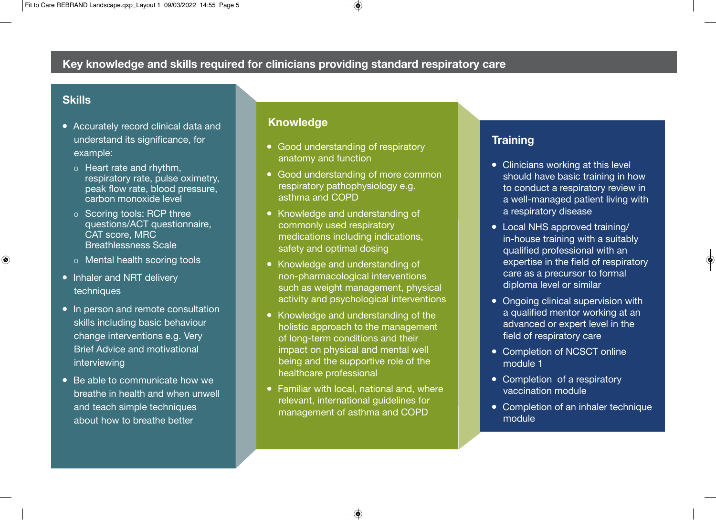## **Skills**

- Accurately record clinical data and understand its significance, for example:
	- o Heart rate and rhythm, respiratory rate, pulse oximetry, peak flow rate, blood pressure, carbon monoxide level
	- o Scoring tools: RCP three questions/ACT questionnaire, CAT score, MRC Breathlessness Scale
	- o Mental health scoring tools
- Inhaler and NRT delivery techniques
- In person and remote consultation skills including basic behaviour change interventions e.g. Very Brief Advice and motivational interviewing
- $\bullet$  Be able to communicate how we breathe in health and when unwell and teach simple techniques about how to breathe better

## **Knowledge**

- Good understanding of respiratory anatomy and function
- Good understanding of more common respiratory pathophysiology e.g. asthma and COPD
- Knowledge and understanding of commonly used respiratory medications including indications, safety and optimal dosing
- Knowledge and understanding of non-pharmacological interventions such as weight management, physical activity and psychological interventions
- Knowledge and understanding of the holistic approach to the management of long-term conditions and their impact on physical and mental well being and the supportive role of the healthcare professional
- $\bullet$  Familiar with local, national and, where relevant, international guidelines for management of asthma and COPD

# **Training**

- Clinicians working at this level should have basic training in how to conduct a respiratory review in a well-managed patient living with a respiratory disease
- Local NHS approved training/ in-house training with a suitably qualified professional with an expertise in the field of respiratory care as a precursor to formal diploma level or similar
- Ongoing clinical supervision with a qualified mentor working at an advanced or expert level in the field of respiratory care
- Completion of NCSCT online module 1
- Completion of a respiratory vaccination module
- Completion of an inhaler technique module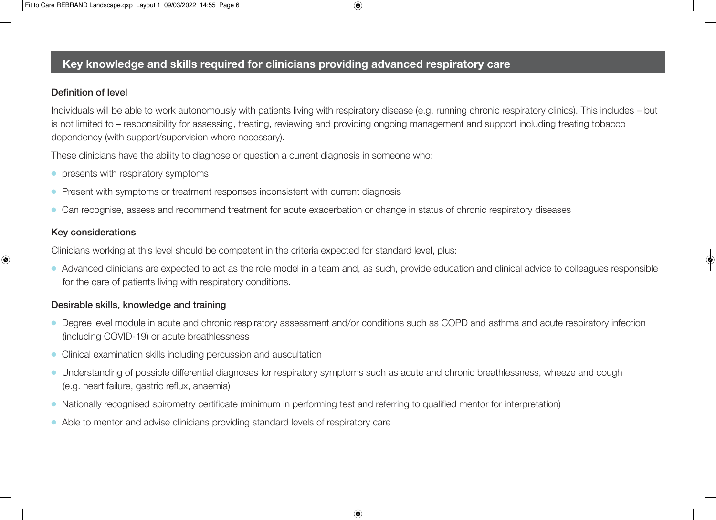# **Key knowledge and skills required for clinicians providing advanced respiratory care**

### **Definition of level**

Individuals will be able to work autonomously with patients living with respiratory disease (e.g. running chronic respiratory clinics). This includes – but is not limited to – responsibility for assessing, treating, reviewing and providing ongoing management and support including treating tobacco dependency (with support/supervision where necessary).

These clinicians have the ability to diagnose or question a current diagnosis in someone who:

- $\bullet$  presents with respiratory symptoms
- Present with symptoms or treatment responses inconsistent with current diagnosis
- <sup>l</sup> Can recognise, assess and recommend treatment for acute exacerbation or change in status of chronic respiratory diseases

### **Key considerations**

Clinicians working at this level should be competent in the criteria expected for standard level, plus:

• Advanced clinicians are expected to act as the role model in a team and, as such, provide education and clinical advice to colleagues responsible for the care of patients living with respiratory conditions.

#### **Desirable skills, knowledge and training**

- Degree level module in acute and chronic respiratory assessment and/or conditions such as COPD and asthma and acute respiratory infection (including COVID-19) or acute breathlessness
- Clinical examination skills including percussion and auscultation
- Understanding of possible differential diagnoses for respiratory symptoms such as acute and chronic breathlessness, wheeze and cough (e.g. heart failure, gastric reflux, anaemia)
- Nationally recognised spirometry certificate (minimum in performing test and referring to qualified mentor for interpretation)
- Able to mentor and advise clinicians providing standard levels of respiratory care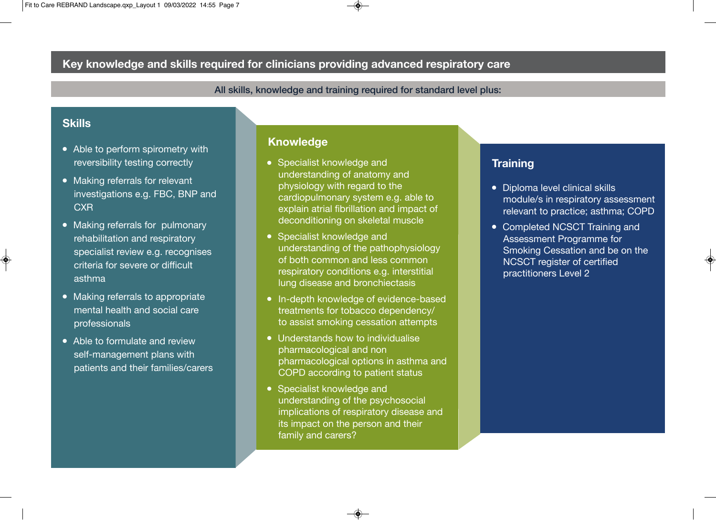# **Key knowledge and skills required for clinicians providing advanced respiratory care**

**All skills, knowledge and training required for standard level plus:**

# **Skills**

- Able to perform spirometry with reversibility testing correctly
- Making referrals for relevant investigations e.g. FBC, BNP and **CXR**
- Making referrals for pulmonary rehabilitation and respiratory specialist review e.g. recognises criteria for severe or difficult asthma
- Making referrals to appropriate mental health and social care professionals
- Able to formulate and review self-management plans with patients and their families/carers

### **Knowledge**

- Specialist knowledge and understanding of anatomy and physiology with regard to the cardiopulmonary system e.g. able to explain atrial fibrillation and impact of deconditioning on skeletal muscle
- Specialist knowledge and understanding of the pathophysiology of both common and less common respiratory conditions e.g. interstitial lung disease and bronchiectasis
- In-depth knowledge of evidence-based treatments for tobacco dependency/ to assist smoking cessation attempts
- Understands how to individualise pharmacological and non pharmacological options in asthma and COPD according to patient status
- Specialist knowledge and understanding of the psychosocial implications of respiratory disease and its impact on the person and their family and carers?

## **Training**

- Diploma level clinical skills module/s in respiratory assessment relevant to practice; asthma; COPD
- Completed NCSCT Training and Assessment Programme for Smoking Cessation and be on the NCSCT register of certified practitioners Level 2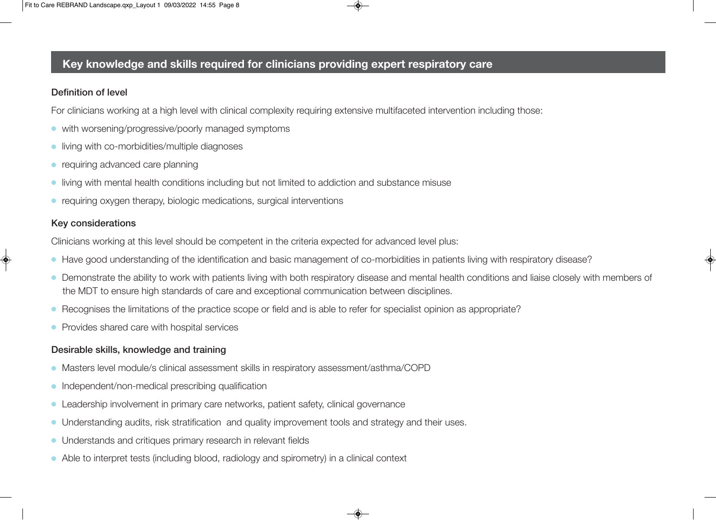# **Key knowledge and skills required for clinicians providing expert respiratory care**

#### **Definition of level**

For clinicians working at a high level with clinical complexity requiring extensive multifaceted intervention including those:

- **•** with worsening/progressive/poorly managed symptoms
- $\bullet$  living with co-morbidities/multiple diagnoses
- $\bullet$  requiring advanced care planning
- living with mental health conditions including but not limited to addiction and substance misuse
- requiring oxygen therapy, biologic medications, surgical interventions

#### **Key considerations**

Clinicians working at this level should be competent in the criteria expected for advanced level plus:

- Have good understanding of the identification and basic management of co-morbidities in patients living with respiratory disease?
- Demonstrate the ability to work with patients living with both respiratory disease and mental health conditions and liaise closely with members of the MDT to ensure high standards of care and exceptional communication between disciplines.
- Recognises the limitations of the practice scope or field and is able to refer for specialist opinion as appropriate?
- Provides shared care with hospital services

#### **Desirable skills, knowledge and training**

- Masters level module/s clinical assessment skills in respiratory assessment/asthma/COPD
- $\bullet$  Independent/non-medical prescribing qualification
- Leadership involvement in primary care networks, patient safety, clinical governance
- Understanding audits, risk stratification and quality improvement tools and strategy and their uses.
- Understands and critiques primary research in relevant fields
- Able to interpret tests (including blood, radiology and spirometry) in a clinical context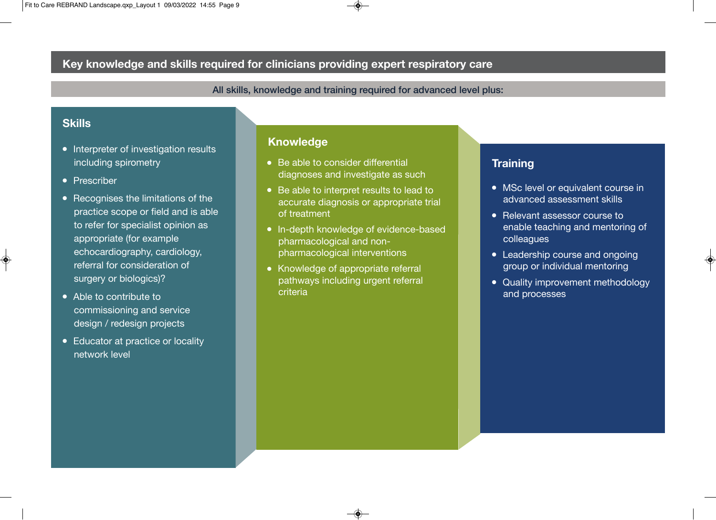# **Key knowledge and skills required for clinicians providing expert respiratory care**

**All skills, knowledge and training required for advanced level plus:**

## **Skills**

- Interpreter of investigation results including spirometry
- Prescriber
- $\bullet$  Recognises the limitations of the practice scope or field and is able to refer for specialist opinion as appropriate (for example echocardiography, cardiology, referral for consideration of surgery or biologics)?
- $\bullet$  Able to contribute to commissioning and service design / redesign projects
- Educator at practice or locality network level

#### **Knowledge**

- $\bullet$  Be able to consider differential diagnoses and investigate as such
- Be able to interpret results to lead to accurate diagnosis or appropriate trial of treatment
- In-depth knowledge of evidence-based pharmacological and nonpharmacological interventions
- Knowledge of appropriate referral pathways including urgent referral criteria

## **Training**

- MSc level or equivalent course in advanced assessment skills
- Relevant assessor course to enable teaching and mentoring of colleagues
- Leadership course and ongoing group or individual mentoring
- Quality improvement methodology and processes